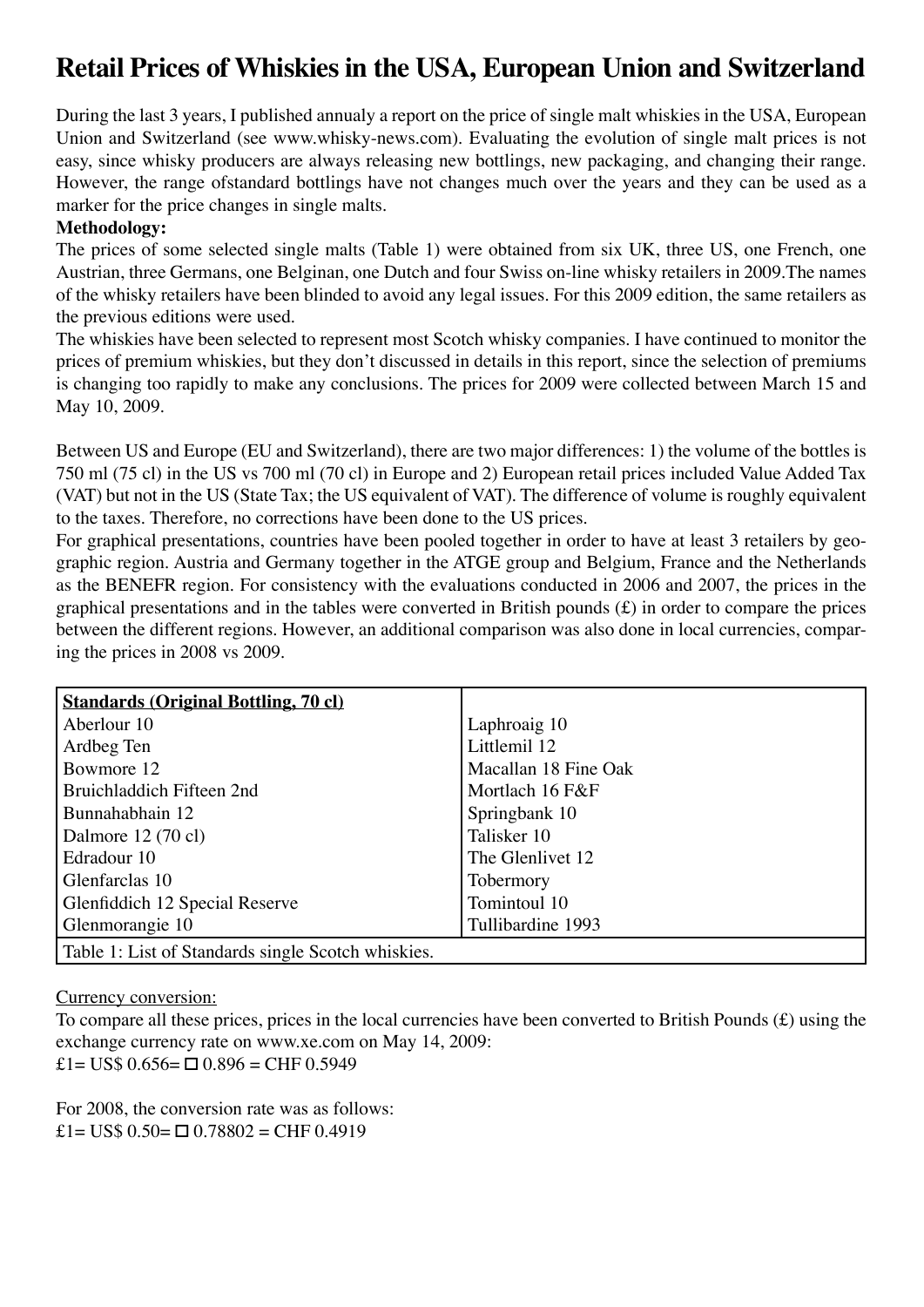# **Retail Prices of Whiskies in the USA, European Union and Switzerland**

During the last 3 years, I published annualy a report on the price of single malt whiskies in the USA, European Union and Switzerland (see www.whisky-news.com). Evaluating the evolution of single malt prices is not easy, since whisky producers are always releasing new bottlings, new packaging, and changing their range. However, the range ofstandard bottlings have not changes much over the years and they can be used as a marker for the price changes in single malts.

## **Methodology:**

The prices of some selected single malts (Table 1) were obtained from six UK, three US, one French, one Austrian, three Germans, one Belginan, one Dutch and four Swiss on-line whisky retailers in 2009.The names of the whisky retailers have been blinded to avoid any legal issues. For this 2009 edition, the same retailers as the previous editions were used.

The whiskies have been selected to represent most Scotch whisky companies. I have continued to monitor the prices of premium whiskies, but they don't discussed in details in this report, since the selection of premiums is changing too rapidly to make any conclusions. The prices for 2009 were collected between March 15 and May 10, 2009.

Between US and Europe (EU and Switzerland), there are two major differences: 1) the volume of the bottles is 750 ml (75 cl) in the US vs 700 ml (70 cl) in Europe and 2) European retail prices included Value Added Tax (VAT) but not in the US (State Tax; the US equivalent of VAT). The difference of volume is roughly equivalent to the taxes. Therefore, no corrections have been done to the US prices.

For graphical presentations, countries have been pooled together in order to have at least 3 retailers by geographic region. Austria and Germany together in the ATGE group and Belgium, France and the Netherlands as the BENEFR region. For consistency with the evaluations conducted in 2006 and 2007, the prices in the graphical presentations and in the tables were converted in British pounds (£) in order to compare the prices between the different regions. However, an additional comparison was also done in local currencies, comparing the prices in 2008 vs 2009.

| <b>Standards (Original Bottling, 70 cl)</b>        |                      |
|----------------------------------------------------|----------------------|
| Aberlour 10                                        | Laphroaig 10         |
| Ardbeg Ten                                         | Littlemil 12         |
| Bowmore 12                                         | Macallan 18 Fine Oak |
| Bruichladdich Fifteen 2nd                          | Mortlach 16 F&F      |
| Bunnahabhain 12                                    | Springbank 10        |
| Dalmore $12(70 \text{ cl})$                        | Talisker 10          |
| Edradour 10                                        | The Glenlivet 12     |
| Glenfarclas 10                                     | Tobermory            |
| Glenfiddich 12 Special Reserve                     | Tomintoul 10         |
| Glenmorangie 10                                    | Tullibardine 1993    |
| Table 1: List of Standards single Scotch whiskies. |                      |

Currency conversion:

To compare all these prices, prices in the local currencies have been converted to British Pounds (£) using the exchange currency rate on www.xe.com on May 14, 2009: £1= US\$  $0.656 = \Box 0.896 = \text{CHF} 0.5949$ 

For 2008, the conversion rate was as follows:  $£1= US$ 0.50=$   $□ 0.78802 = CHF 0.4919$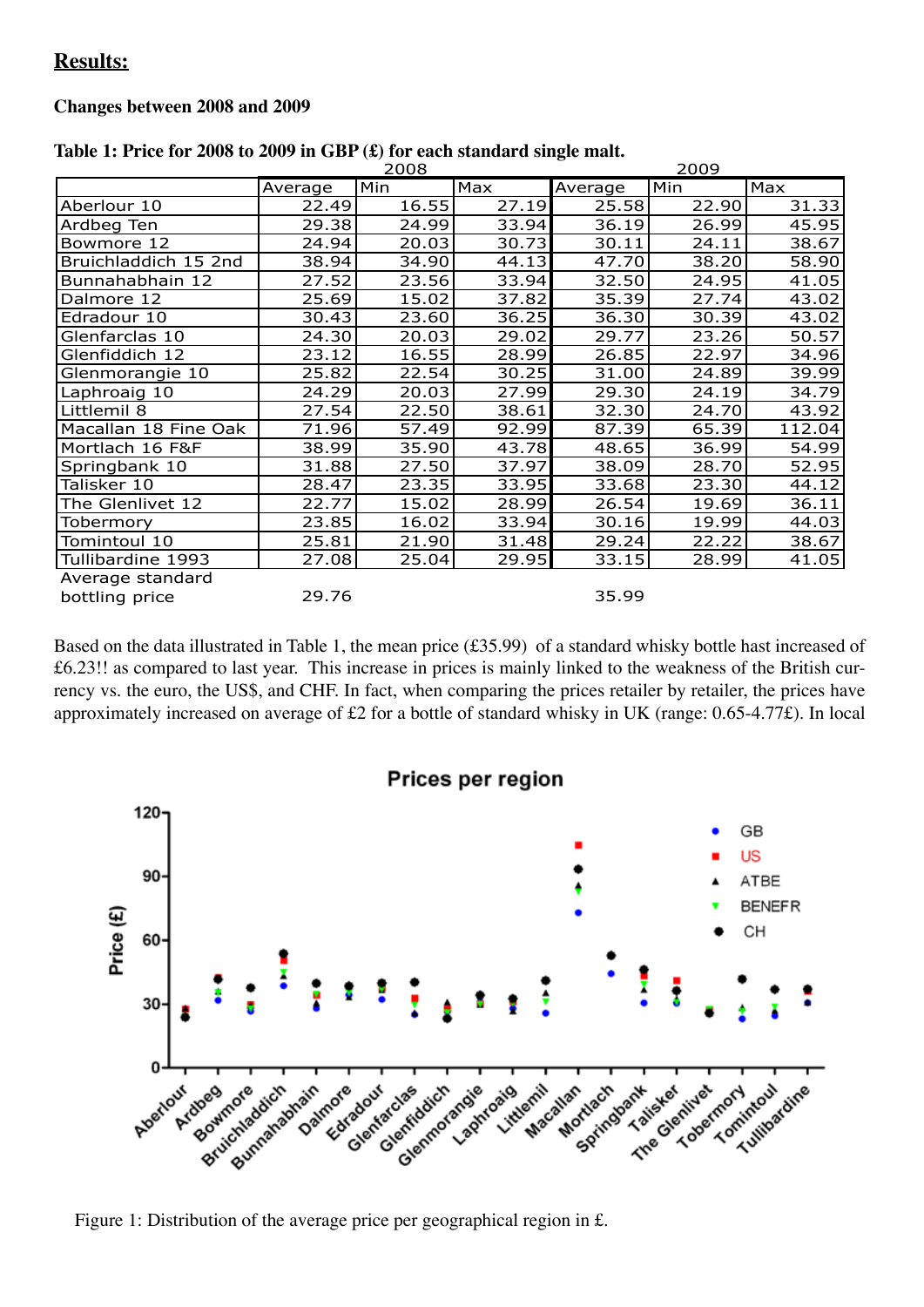# **Results:**

#### **Changes between 2008 and 2009**

|                      |         | 2008  |       | 2009    |       |        |  |  |
|----------------------|---------|-------|-------|---------|-------|--------|--|--|
|                      | Average | Min   | Max   | Average | Min   | Max    |  |  |
| Aberlour 10          | 22.49   | 16.55 | 27.19 | 25.58   | 22.90 | 31.33  |  |  |
| Ardbeg Ten           | 29.38   | 24.99 | 33.94 | 36.19   | 26.99 | 45.95  |  |  |
| Bowmore 12           | 24.94   | 20.03 | 30.73 | 30.11   | 24.11 | 38.67  |  |  |
| Bruichladdich 15 2nd | 38.94   | 34.90 | 44.13 | 47.70   | 38.20 | 58.90  |  |  |
| Bunnahabhain 12      | 27.52   | 23.56 | 33.94 | 32.50   | 24.95 | 41.05  |  |  |
| Dalmore 12           | 25.69   | 15.02 | 37.82 | 35.39   | 27.74 | 43.02  |  |  |
| Edradour 10          | 30.43   | 23.60 | 36.25 | 36.30   | 30.39 | 43.02  |  |  |
| Glenfarclas 10       | 24.30   | 20.03 | 29.02 | 29.77   | 23.26 | 50.57  |  |  |
| Glenfiddich 12       | 23.12   | 16.55 | 28.99 | 26.85   | 22.97 | 34.96  |  |  |
| Glenmorangie 10      | 25.82   | 22.54 | 30.25 | 31.00   | 24.89 | 39.99  |  |  |
| Laphroaig 10         | 24.29   | 20.03 | 27.99 | 29.30   | 24.19 | 34.79  |  |  |
| Littlemil 8          | 27.54   | 22.50 | 38.61 | 32.30   | 24.70 | 43.92  |  |  |
| Macallan 18 Fine Oak | 71.96   | 57.49 | 92.99 | 87.39   | 65.39 | 112.04 |  |  |
| Mortlach 16 F&F      | 38.99   | 35.90 | 43.78 | 48.65   | 36.99 | 54.99  |  |  |
| Springbank 10        | 31.88   | 27.50 | 37.97 | 38.09   | 28.70 | 52.95  |  |  |
| Talisker 10          | 28.47   | 23.35 | 33.95 | 33.68   | 23.30 | 44.12  |  |  |
| The Glenlivet 12     | 22.77   | 15.02 | 28.99 | 26.54   | 19.69 | 36.11  |  |  |
| Tobermory            | 23.85   | 16.02 | 33.94 | 30.16   | 19.99 | 44.03  |  |  |
| Tomintoul 10         | 25.81   | 21.90 | 31.48 | 29.24   | 22.22 | 38.67  |  |  |
| Tullibardine 1993    | 27.08   | 25.04 | 29.95 | 33.15   | 28.99 | 41.05  |  |  |
| Average standard     |         |       |       |         |       |        |  |  |
| bottling price       | 29.76   |       |       | 35.99   |       |        |  |  |

|  |  |  |  | Table 1: Price for 2008 to 2009 in GBP $(\pounds)$ for each standard single malt. |  |  |
|--|--|--|--|-----------------------------------------------------------------------------------|--|--|
|  |  |  |  |                                                                                   |  |  |

Based on the data illustrated in Table 1, the mean price (£35.99) of a standard whisky bottle hast increased of £6.23!! as compared to last year. This increase in prices is mainly linked to the weakness of the British currency vs. the euro, the US\$, and CHF. In fact, when comparing the prices retailer by retailer, the prices have approximately increased on average of £2 for a bottle of standard whisky in UK (range: 0.65-4.77£). In local



Figure 1: Distribution of the average price per geographical region in £.